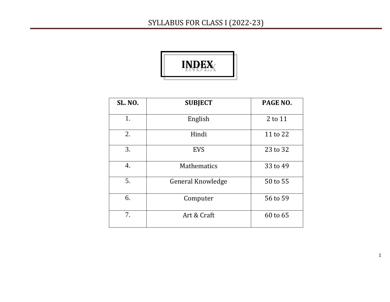

| <b>SL. NO.</b> | <b>SUBJECT</b>     | PAGE NO. |
|----------------|--------------------|----------|
| 1.             | English            | 2 to 11  |
| 2.             | Hindi              | 11 to 22 |
| 3.             | <b>EVS</b>         | 23 to 32 |
| 4.             | <b>Mathematics</b> | 33 to 49 |
| 5.             | General Knowledge  | 50 to 55 |
| 6.             | Computer           | 56 to 59 |
| 7.             | Art & Craft        | 60 to 65 |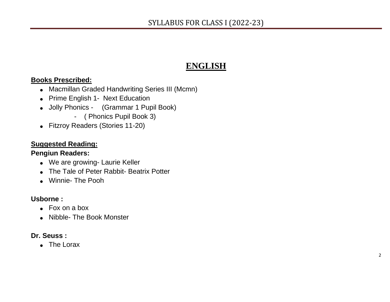### **ENGLISH**

#### **Books Prescribed:**

- Macmillan Graded Handwriting Series III (Mcmn)
- Prime English 1- Next Education
- Jolly Phonics (Grammar 1 Pupil Book)
	- ( Phonics Pupil Book 3)
- Fitzroy Readers (Stories 11-20)

#### **Suggested Reading:**

#### **Pengiun Readers:**

- We are growing- Laurie Keller
- The Tale of Peter Rabbit- Beatrix Potter
- Winnie- The Pooh

#### **Usborne :**

- Fox on a box
- Nibble- The Book Monster

#### **Dr. Seuss :**

• The Lorax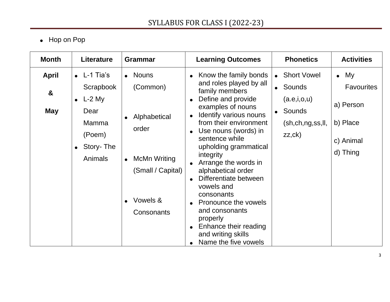## • Hop on Pop

| <b>Month</b>                                        | <b>Literature</b>                                                                                                        | <b>Grammar</b>                                                                                                           | <b>Learning Outcomes</b>                                                                                                                                                                                                                                                                                                                                                                                                                                                                       | <b>Phonetics</b>                                                                                    | <b>Activities</b>                                                                   |
|-----------------------------------------------------|--------------------------------------------------------------------------------------------------------------------------|--------------------------------------------------------------------------------------------------------------------------|------------------------------------------------------------------------------------------------------------------------------------------------------------------------------------------------------------------------------------------------------------------------------------------------------------------------------------------------------------------------------------------------------------------------------------------------------------------------------------------------|-----------------------------------------------------------------------------------------------------|-------------------------------------------------------------------------------------|
| <b>April</b><br>$\boldsymbol{\alpha}$<br><b>May</b> | $\bullet$ L-1 Tia's<br>Scrapbook<br>$\bullet$ L-2 My<br>Dear<br><b>Mamma</b><br>(Poem)<br>• Story- The<br><b>Animals</b> | • Nouns<br>(Common)<br>Alphabetical<br>order<br>McMn Writing<br>$\bullet$<br>(Small / Capital)<br>Vowels &<br>Consonants | Know the family bonds<br>$\bullet$<br>and roles played by all<br>family members<br>Define and provide<br>examples of nouns<br>Identify various nouns<br>from their environment<br>Use nouns (words) in<br>sentence while<br>upholding grammatical<br>integrity<br>Arrange the words in<br>alphabetical order<br>Differentiate between<br>vowels and<br>consonants<br>Pronounce the vowels<br>and consonants<br>properly<br>Enhance their reading<br>and writing skills<br>Name the five vowels | • Short Vowel<br>• Sounds<br>(a.e, i, o, u)<br>• Sounds<br>(sh, ch, ng, ss, ll, dl<br>zz, <b>ck</b> | $\bullet$ My<br><b>Favourites</b><br>a) Person<br>b) Place<br>c) Animal<br>d) Thing |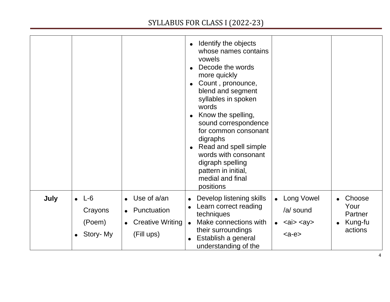|      |                                                |                                                                                                            | Identify the objects<br>$\bullet$<br>whose names contains<br>vowels<br>Decode the words<br>more quickly<br>Count, pronounce,<br>$\bullet$<br>blend and segment<br>syllables in spoken<br>words<br>Know the spelling,<br>sound correspondence<br>for common consonant<br>digraphs<br>Read and spell simple<br>words with consonant<br>digraph spelling<br>pattern in initial,<br>medial and final<br>positions |
|------|------------------------------------------------|------------------------------------------------------------------------------------------------------------|---------------------------------------------------------------------------------------------------------------------------------------------------------------------------------------------------------------------------------------------------------------------------------------------------------------------------------------------------------------------------------------------------------------|
| July | $\bullet$ L-6<br>Crayons<br>(Poem)<br>Story-My | Use of a/an<br>$\bullet$<br>Punctuation<br>$\bullet$<br><b>Creative Writing</b><br>$\bullet$<br>(Fill ups) | Long Vowel<br>Choose<br>Develop listening skills<br>$\bullet$<br>Your<br>Learn correct reading<br>/a/ sound<br>techniques<br>Partner<br>Make connections with<br>Kung-fu<br>$\langle a \rangle \langle a \rangle$<br>$\bullet$<br>$\bullet$<br>their surroundings<br>actions<br>$Establish a generalunderstanding of the$                                                                                     |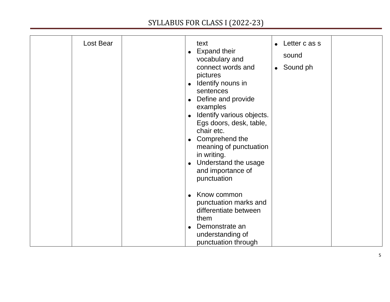| Lost Bear | text<br><b>Expand their</b><br>vocabulary and<br>connect words and<br>pictures<br>Identify nouns in<br>$\bullet$<br>sentences<br>Define and provide<br>examples<br>Identify various objects.<br>Egs doors, desk, table,<br>chair etc.<br>Comprehend the<br>$\bullet$<br>meaning of punctuation<br>in writing.<br>Understand the usage<br>and importance of<br>punctuation<br>Know common<br>punctuation marks and<br>differentiate between<br>them | Letter c as s<br>sound<br>Sound ph |
|-----------|----------------------------------------------------------------------------------------------------------------------------------------------------------------------------------------------------------------------------------------------------------------------------------------------------------------------------------------------------------------------------------------------------------------------------------------------------|------------------------------------|
|           | Demonstrate an<br>understanding of<br>punctuation through                                                                                                                                                                                                                                                                                                                                                                                          |                                    |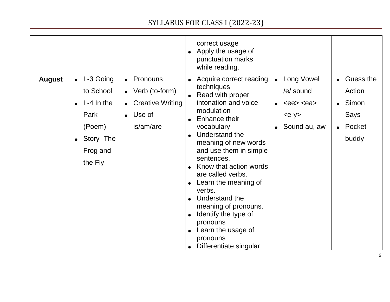|               |                                                                                                          |                                                                                                                    | correct usage<br>• Apply the usage of<br>punctuation marks<br>while reading.                                                                                                                                                                                                                                                                                                                                                   |                                                         |
|---------------|----------------------------------------------------------------------------------------------------------|--------------------------------------------------------------------------------------------------------------------|--------------------------------------------------------------------------------------------------------------------------------------------------------------------------------------------------------------------------------------------------------------------------------------------------------------------------------------------------------------------------------------------------------------------------------|---------------------------------------------------------|
| <b>August</b> | $\bullet$ L-3 Going<br>to School<br>$L-4$ In the<br>Park<br>(Poem)<br>• Story-The<br>Frog and<br>the Fly | • Pronouns<br>$\bullet$ Verb (to-form)<br><b>Creative Writing</b><br>$\bullet$<br>Use of<br>$\bullet$<br>is/am/are | Long Vowel<br>• Acquire correct reading<br>techniques<br>/e/ sound<br>• Read with proper<br>intonation and voice<br>$  modulationEnhance theirvocabularySound au, aw• Understand themeaning of new wordsand use them in simplesentences.Know that action wordsare called verbs.Learn the meaning ofverbs.• Understand themeaning of pronouns.• Identify the type ofpronouns• Learn the usage ofpronounsDifferentiate singular$ | Guess the<br>Action<br>Simon<br>Says<br>Pocket<br>buddy |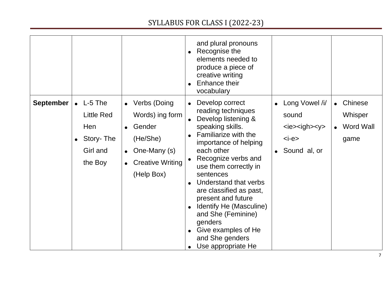|                  |                                                                                      |                                                                                                                               | and plural pronouns<br>• Recognise the<br>elements needed to<br>produce a piece of<br>creative writing<br>Enhance their<br>vocabulary                                                                                                                                                                                                                                                                                                                                                                                                                                                         |  |
|------------------|--------------------------------------------------------------------------------------|-------------------------------------------------------------------------------------------------------------------------------|-----------------------------------------------------------------------------------------------------------------------------------------------------------------------------------------------------------------------------------------------------------------------------------------------------------------------------------------------------------------------------------------------------------------------------------------------------------------------------------------------------------------------------------------------------------------------------------------------|--|
| <b>September</b> | $\bullet$ L-5 The<br><b>Little Red</b><br>Hen<br>• Story- The<br>Girl and<br>the Boy | • Verbs (Doing<br>Words) ing form<br>Gender<br>(He/She)<br>One-Many (s)<br>$\bullet$<br><b>Creative Writing</b><br>(Help Box) | Long Vowel /i/<br>Chinese<br>Develop correct<br>$\bullet$<br>reading techniques<br>Whisper<br>sound<br>Develop listening &<br>speaking skills.<br><b>Word Wall</b><br>$ies = igh$<br>Familiarize with the<br>$\bullet$<br>$\langle -e \rangle$<br>game<br>importance of helping<br>each other<br>Sound al, or<br>Recognize verbs and<br>use them correctly in<br>sentences<br>Understand that verbs<br>are classified as past,<br>present and future<br>Identify He (Masculine)<br>$\bullet$<br>and She (Feminine)<br>genders<br>Give examples of He<br>and She genders<br>Use appropriate He |  |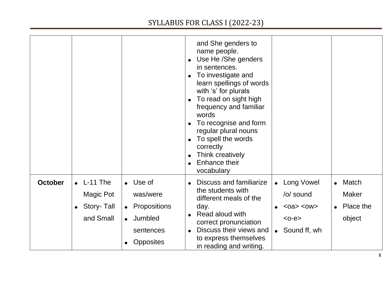|                |                                                               |                                                                                                                      | and She genders to<br>name people.<br>• Use He /She genders<br>in sentences.<br>To investigate and<br>learn spellings of words<br>with 's' for plurals<br>To read on sight high<br>frequency and familiar<br>words<br>To recognise and form<br>regular plural nouns<br>To spell the words<br>correctly<br>Think creatively<br><b>Enhance their</b><br>vocabulary                                                  |
|----------------|---------------------------------------------------------------|----------------------------------------------------------------------------------------------------------------------|-------------------------------------------------------------------------------------------------------------------------------------------------------------------------------------------------------------------------------------------------------------------------------------------------------------------------------------------------------------------------------------------------------------------|
| <b>October</b> | $\bullet$ L-11 The<br>Magic Pot<br>• Story- Tall<br>and Small | $\bullet$ Use of<br>was/were<br>Propositions<br>$\bullet$<br>• Jumbled<br>sentences<br><b>Opposites</b><br>$\bullet$ | Discuss and familiarize<br><b>Long Vowel</b><br>Match<br>$\bullet$<br>$\bullet$<br>the students with<br>/o/ sound<br><b>Maker</b><br>different meals of the<br>Place the<br>day.<br>$<$ oa> $<$ ow><br>Read aloud with<br>$\bullet$<br>object<br>$<$ 0- $e$ $>$<br>correct pronunciation<br>Discuss their views and<br>Sound ff, wh<br>$\bullet$<br>$\bullet$<br>to express themselves<br>in reading and writing. |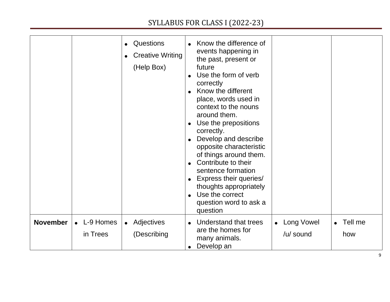|                 |                       | <b>Questions</b><br><b>Creative Writing</b><br>(Help Box) | Know the difference of<br>events happening in<br>the past, present or<br>future<br>Use the form of verb<br>correctly<br>Know the different<br>$\bullet$<br>place, words used in<br>context to the nouns<br>around them.<br>Use the prepositions<br>correctly.<br>Develop and describe<br>opposite characteristic<br>of things around them.<br>Contribute to their<br>sentence formation<br><b>Express their queries/</b><br>thoughts appropriately<br>Use the correct<br>question word to ask a<br>question |  |
|-----------------|-----------------------|-----------------------------------------------------------|-------------------------------------------------------------------------------------------------------------------------------------------------------------------------------------------------------------------------------------------------------------------------------------------------------------------------------------------------------------------------------------------------------------------------------------------------------------------------------------------------------------|--|
| <b>November</b> | L-9 Homes<br>in Trees | Adjectives<br>$\bullet$<br>(Describing                    | Understand that trees<br>Long Vowel<br>Tell me<br>$\bullet$<br>are the homes for<br>/u/ sound<br>how<br>many animals.<br>Develop an                                                                                                                                                                                                                                                                                                                                                                         |  |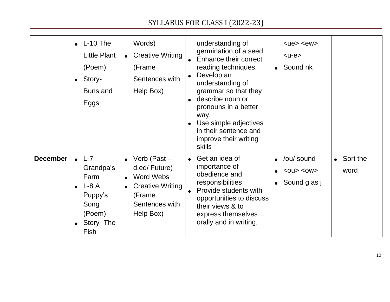|                 | $\bullet$ L-10 The<br>Little Plant<br>(Poem)<br>$\bullet$ Story-<br><b>Buns and</b><br>Eggs                 | Words)<br><b>Creative Writing</b><br>$\bullet$<br>(Frame<br>Sentences with<br>Help Box)                           | understanding of<br>germination of a seed<br><b>Enhance their correct</b><br>reading techniques.<br>Develop an<br>understanding of<br>grammar so that they<br>describe noun or<br>pronouns in a better<br>way.<br>• Use simple adjectives<br>in their sentence and<br>improve their writing<br>skills | $ue < ew$<br>$<$ u-e $>$<br>Sound nk                |                            |
|-----------------|-------------------------------------------------------------------------------------------------------------|-------------------------------------------------------------------------------------------------------------------|-------------------------------------------------------------------------------------------------------------------------------------------------------------------------------------------------------------------------------------------------------------------------------------------------------|-----------------------------------------------------|----------------------------|
| <b>December</b> | $\bullet$ L-7<br>Grandpa's<br>Farm<br>$L-8A$<br>$\bullet$<br>Puppy's<br>Song<br>(Poem)<br>Story-The<br>Fish | • Verb (Past $-$<br>d,ed/Future)<br>Word Webs<br><b>Creative Writing</b><br>(Frame<br>Sentences with<br>Help Box) | • Get an idea of<br>importance of<br>obedience and<br>responsibilities<br>Provide students with<br>opportunities to discuss<br>their views & to<br>express themselves<br>orally and in writing.                                                                                                       | /ou/ sound<br>$<$ OU $>$ $<$ OW $>$<br>Sound g as j | $\bullet$ Sort the<br>word |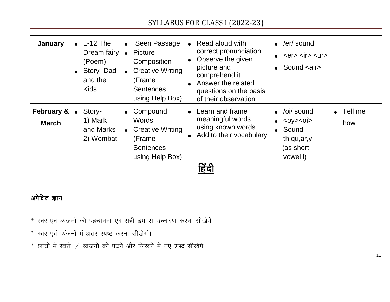| January                               | $\bullet$ L-12 The<br>Dream fairy<br>(Poem)<br>• Story-Dad<br>and the<br><b>Kids</b> | Seen Passage<br>$\bullet$<br>Picture<br>$\bullet$<br>Composition<br><b>Creative Writing</b><br>$\bullet$<br>(Frame)<br><b>Sentences</b><br>using Help Box) | • Read aloud with<br>correct pronunciation<br>• Observe the given<br>picture and<br>comprehend it.<br>Answer the related<br>questions on the basis<br>of their observation | /er/ sound<br>$<$ er $>$ $<$ ir $>$ $<$ ur $>$<br>Sound <air></air>                                            |                          |
|---------------------------------------|--------------------------------------------------------------------------------------|------------------------------------------------------------------------------------------------------------------------------------------------------------|----------------------------------------------------------------------------------------------------------------------------------------------------------------------------|----------------------------------------------------------------------------------------------------------------|--------------------------|
| <b>February &amp;</b><br><b>March</b> | Story-<br>$\bullet$<br>1) Mark<br>and Marks<br>2) Wombat                             | Compound<br>$\bullet$<br><b>Words</b><br><b>Creative Writing</b><br>$\bullet$<br>(Frame)<br><b>Sentences</b><br>using Help Box)                            | • Learn and frame<br>meaningful words<br>using known words<br>• Add to their vocabulary<br>$\sim$ $\sim$                                                                   | /oi/ sound<br>$<$ Oy $>$ $<$ O <sub>i</sub> $>$<br>$\bullet$<br>• Sound<br>th,qu,ar,y<br>(as short<br>vowel i) | $\bullet$ Tell me<br>how |

<u>हिंदी</u>

#### अपेक्षित ज्ञान

- \* स्वर एवं व्यंजनों को पहचानना एवं सही ढंग से उच्चारण करना सीखेगें।
- \* स्वर एवं व्यंजनों में अंतर स्पष्ट करना सीखेगें।
- $*$  छात्रों में स्वरों / व्यंजनों को पढ़ने और लिखने में नए शब्द सीखेगें।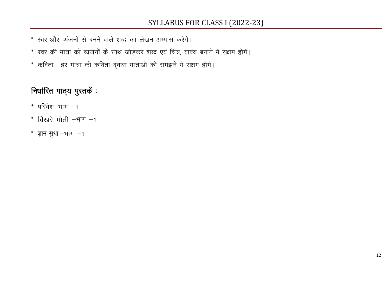- \* स्वर और व्यंजनों से बनने वाले शब्द का लेखन अभ्यास करेगें।
- \* स्वर की मात्रा को व्यंजनों के साथ जोड़कर शब्द एवं चित्र, वाक्य बनाने में सक्षम होगें।
- \* कविता- हर मात्रा की कविता द्वारा मात्राओं को समझने में सक्षम होगें।

## निर्धारित पाठ्य पुस्तकें :

- $*$  परिवेश-भाग  $-1$
- $*$  बिखरे मोती -भाग -1
- $*$  ज्ञान सुधा -भाग -1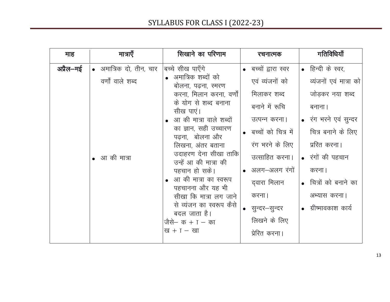| माह       | मात्राएँ                | सिखाने का परिणाम                               | रचनात्मक             | गतिविधियाँ             |
|-----------|-------------------------|------------------------------------------------|----------------------|------------------------|
| अप्रैल—मई | • अमात्रिक दो, तीन, चार | बच्चे सीख पाएँगे                               | • बच्चों द्वारा स्वर | • हिन्दी के स्वर,      |
|           | वर्णों वाले शब्द        | • अमात्रिक शब्दों को<br>बोलना, पढ़ना, स्मरण    | एवं व्यंजनों को      | व्यंजनों एवं मात्रा को |
|           |                         | करना, मिलान करना, वर्णो                        | मिलाकर शब्द          | जोड़कर नया शब्द        |
|           |                         | के योग से शब्द बनाना<br>सीख पाएं।              | बनाने में रूचि       | बनाना                  |
|           |                         | • आ की मात्रा वाले शब्दों                      | उत्पन्न करना।        | • रंग भरने एवं सुन्दर  |
|           |                         | का ज्ञान, सही उच्चारण<br>पढना, बोलना और        | बच्चों को चित्र में  | चित्र बनाने के लिए     |
|           |                         | लिखना, अंतर बताना                              | रंग भरने के लिए      | प्ररित करना।           |
|           | आ की मात्रा             | उदाहरण देना सीखा ताकि<br>उन्हें आ की मात्रा की | उत्साहित करना।       | • रंगों की पहचान       |
|           |                         | पहचान हो सके।                                  | अलग–अलग रंगों        | करना।                  |
|           |                         | • आ की मात्रा का स्वरूप<br>पहचानना और यह भी    | दवारा मिलान          | • चित्रों को बनाने का  |
|           |                         | सीखा कि मात्रा लग जाने                         | करना।                | अभ्यास करना।           |
|           |                         | से व्यंजन का स्वरूप कैसे<br>बदल जाता है।       | सुन्दर–सुन्दर        | ग्रीष्मावकाश कार्य     |
|           |                         | जैसे– क + ा – का                               | लिखने के लिए         |                        |
|           |                         | $\overline{u} + I - \overline{u}$              | प्रेरित करना।        |                        |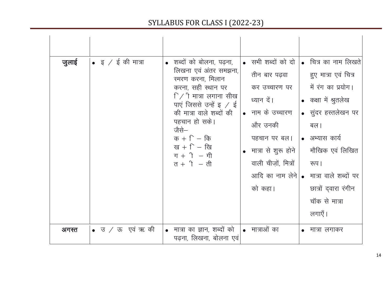| जुलाई | • इ $\sqrt{5}$ की मात्रा | • शब्दों को बोलना, पढ़ना,<br>लिखना एवं अंतर समझना,<br>स्मरण करना, मिलान<br>करना, सही स्थान पर<br>$\lceil$ / $\rceil$ मात्रा लगाना सीख<br>पाएं जिससे उन्हें इ $\angle$ ई<br>की मात्रा वाले शब्दों की<br>पहचान हो सके।<br>जैसे—<br>क + $\Gamma$ – कि<br>ख $+$ ि $-$ खि<br>$\Pi + \uparrow - \uparrow \uparrow$<br>त $+$ ी $-$ ती | • सभी शब्दों को दो $\vert$<br>तीन बार पढ़वा<br>कर उच्चारण पर<br>ध्यान दें।<br>• नाम के उच्चारण<br>और उनकी<br>पहचान पर बल।<br>• मात्रा से शुरू होने<br>वाली चीज़ों, मित्रों<br>को कहा। | • चित्र का नाम लिखते<br>हुए मात्रा एवं चित्र<br>में रंग का प्रयोग।<br>• कक्षा में श्रुतलेख<br>• सुंदर हस्तलेखन पर<br>बल।<br>• अभ्यास कार्य<br>मौखिक एवं लिखित<br>रूप।<br>आदि का नाम लेने • मात्रा वाले शब्दों पर<br>छात्रों दवारा रंगीन<br>चॉक से मात्रा |
|-------|--------------------------|--------------------------------------------------------------------------------------------------------------------------------------------------------------------------------------------------------------------------------------------------------------------------------------------------------------------------------|---------------------------------------------------------------------------------------------------------------------------------------------------------------------------------------|----------------------------------------------------------------------------------------------------------------------------------------------------------------------------------------------------------------------------------------------------------|
| अगस्त | • उ $\sqrt{3}$ एवं ऋ की  | • मात्रा का ज्ञान, शब्दों को<br>पढ़ना, लिखना, बोलना एवं                                                                                                                                                                                                                                                                        | • मात्राओं का                                                                                                                                                                         | लगाएँ।<br>मात्रा लगाकर                                                                                                                                                                                                                                   |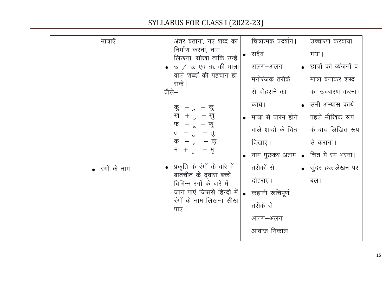| मात्राएँ       | अंतर बताना, नए शब्द का                                                                                                        | चित्रात्मक प्रदर्शन।                   | उच्चारण करवाया          |
|----------------|-------------------------------------------------------------------------------------------------------------------------------|----------------------------------------|-------------------------|
|                | निर्माण करना, नाम<br>लिखना, सीखा ताकि उन्हें                                                                                  | • सदैव                                 | गया।                    |
|                | उ / ऊ एवं ऋ की मात्रा                                                                                                         | अलग–अलग                                | • छात्रों को व्यंजनों व |
|                | वाले शब्दों की पहचान हो<br>सके।                                                                                               | मनोरंजक तरीके                          | मात्रा बनाकर शब्द       |
|                | जैसे—                                                                                                                         | से दोहराने का                          | का उच्चारण करना।        |
|                | कु $+$ ु $-$ कु                                                                                                               | कार्य ।                                | • सभी अभ्यास कार्य      |
|                | ख + $_{\circ}$ – खु<br>फ + ू – फू<br>त + ू — तू<br>$\frac{1}{2} + \frac{1}{2} - \frac{1}{2}$<br>म + $_{c}$ – मृ               | • मात्रा से प्रारंभ होने               | पहले मौखिक रूप          |
|                |                                                                                                                               | वाले शब्दों के चित्र                   | के बाद लिखित रूप        |
|                |                                                                                                                               | दिखाए।                                 | से कराना।               |
|                |                                                                                                                               | • नाम पूछकर अलग   • चित्र में रंग भरना |                         |
| • रंगों के नाम | प्रकृति के रंगों के बारे में                                                                                                  | तरीकों से                              | • सुंदर हस्तलेखन पर     |
|                | बातचीत के द् <b>वारा</b> बच्चे<br>विभिन्न रंगों के बारे में<br>जान पाएं जिससे हिन्दी में <br>रंगों के नाम लिखना सीख<br>पाएं । | दोहराए ।                               | बल।                     |
|                |                                                                                                                               | कहानी रूचिपूर्ण                        |                         |
|                |                                                                                                                               | तरीके से                               |                         |
|                |                                                                                                                               | अलग-अलग                                |                         |
|                |                                                                                                                               | आवाज़ निकाल                            |                         |
|                |                                                                                                                               |                                        |                         |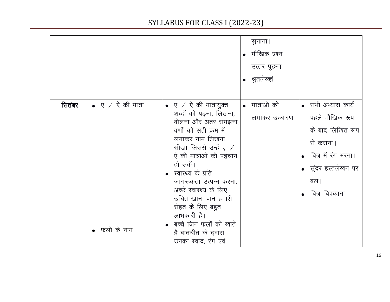|        |                                            |                                                                                                                                                                                                                                                                                                                                                                                                                       | सुनाना ।<br>मौखिक प्रश्न<br>उत्तर पूछना।<br>• श्रुतलेख्ज्ञं |                                                                                                                                                |
|--------|--------------------------------------------|-----------------------------------------------------------------------------------------------------------------------------------------------------------------------------------------------------------------------------------------------------------------------------------------------------------------------------------------------------------------------------------------------------------------------|-------------------------------------------------------------|------------------------------------------------------------------------------------------------------------------------------------------------|
| सितंबर | $\bullet$ ए / ऐ की मात्रा<br>• फलों के नाम | $\bullet$ ए $\neq$ ऐ की मात्रायुक्त<br>शब्दों को पढ़ना, लिखना,<br>बोलना और अंतर समझना,<br>वर्णों को सही क्रम में<br>लगाकर नाम लिखना<br>सीखा जिससे उन्हें ए $\angle$<br>ऐ की मात्राओं की पहचान<br>हो सकें।<br>स्वास्थ्य के प्रति<br>जागरूकता उत्पन्न करना,<br>अच्छे स्वास्थ्य के लिए<br>उचित खान–पान हमारी<br>सेहत के लिए बहुत<br>लाभकारी है।<br>बच्चे जिन फलों को खाते<br>हैं बातचीत के द्वारा<br>उनका स्वाद, रंग एवं | • मात्राओं को<br>लगाकर उच्चारण                              | • सभी अभ्यास कार्य<br>पहले मौखिक रूप<br>के बाद लिखित रूप<br>से कराना।<br>• चित्र में रंग भरना।<br>• सुंदर हस्तलेखन पर<br>बल ।<br>चित्र चिपकाना |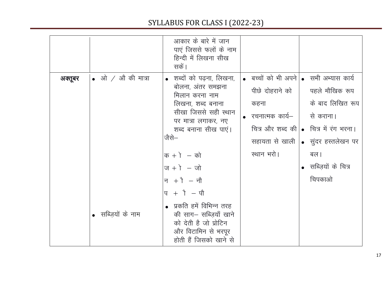|         |                                                                  | आकार के बारे में जान<br>पाएं जिससे फलों के नाम<br>हिन्दी में लिखना सीख<br>सकें।                                                                                                                                                                                                                                                                                                                                    |                                                                                                                              |                                                                                                                                                                           |
|---------|------------------------------------------------------------------|--------------------------------------------------------------------------------------------------------------------------------------------------------------------------------------------------------------------------------------------------------------------------------------------------------------------------------------------------------------------------------------------------------------------|------------------------------------------------------------------------------------------------------------------------------|---------------------------------------------------------------------------------------------------------------------------------------------------------------------------|
| अक्तूबर | $\bullet$ $\Rightarrow$ औ $\neq$ औ की मात्रा<br>सब्ज़ियों के नाम | • शब्दों को पढ़ना, लिखना,<br>बोलना, अंतर समझना<br>मिलान करना नाम<br>लिखना, शब्द बनाना<br>सीखा जिससे सही स्थान<br>पर मात्रा लगाकर, नए<br>शब्द बनाना सीख पाएं।<br>जैसे—<br>$\overline{p}$ + $\overline{p}$ - $\overline{p}$<br>$\pi + 1 - \pi$<br>न $+\$ – नौ<br>$ q + \rangle - \eta$<br>प्रकति हमें विभिन्न तरह<br>की साग– सब्जियाँ खाने<br>को देती है जो प्रोटिन<br>और विटामिन से भरपूर<br>होती हैं जिसको खाने से | • बच्चों को भी अपने   • सभी अभ्यास कार्य<br>पीछे दोहराने को  <br>कहना<br>$\bullet$ रचनात्मक कार्य— $\parallel$<br>स्थान भरो। | पहले मौखिक रूप<br>के बाद लिखित रूप<br>से कराना।<br>चित्र और शब्द की   • चित्र में रंग भरना।<br>सहायता से खाली  • सुंदर हस्तलेखन पर<br>बल।<br>सब्ज़ियों के चित्र<br>चिपकाओ |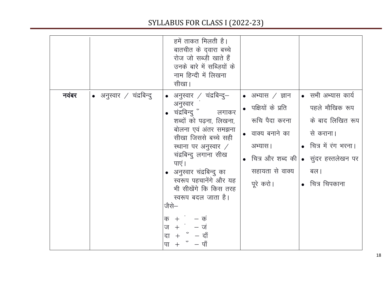|                                           | हमें ताकत मिलती है।<br>बातचीत के द् <b>वारा</b> बच्चे<br>रोज जो सब्ज़ी खाते हैं<br>उनके बारे में सब्जियों के<br>नाम हिन्दी में लिखना<br>सीखा।                                                                                                                                                                                                                                                                                        |                                                                                                                            |                                                                                                                                                                          |
|-------------------------------------------|--------------------------------------------------------------------------------------------------------------------------------------------------------------------------------------------------------------------------------------------------------------------------------------------------------------------------------------------------------------------------------------------------------------------------------------|----------------------------------------------------------------------------------------------------------------------------|--------------------------------------------------------------------------------------------------------------------------------------------------------------------------|
| नवंबर<br>$\bullet$ अनुस्वार / चंद्रबिन्दु | • अनुस्वार $\neq$ चंद्रबिन्दु—<br>अनुस्वार<br>चंद्रबिन्द् ँ लगाकर<br>शब्दों को पढ़ना, लिखना,<br>बोलना एवं अंतर समझना<br>सीखा जिससे बच्चे सही<br>स्थाना पर अनुस्वार $\angle$<br>चंद्रबिन्दु लगाना सीख<br>पाएं ।<br>• अनुस्वार चंद्रबिन्दु का<br>स्वरूप पहचानेंगे और यह<br>भी सीखेंगे कि किस तरह<br>स्वरूप बदल जाता है।<br>जैसे—<br>$\overline{p}$ + $-\overline{p}$<br>ज $+$ ं<br>— जं<br>$+$ ँ $-$ दाँ<br>दा<br>$-$ पाँ<br>पा<br>$+$ | • अभ्यास $/$ ज्ञान<br>• पक्षियों के प्रति<br>रूचि पैदा करना<br>• वाक्य बनाने का<br>अभ्यास।<br>सहायता से वाक्य<br>पूरे करो। | • सभी अभ्यास कार्य<br>पहले मौखिक रूप<br>के बाद लिखित रूप<br>से कराना।<br>• चित्र में रंग भरना।<br>चित्र और शब्द की • सुंदर हस्तलेखन पर<br>बल।<br>$\bullet$ वित्र चिपकाना |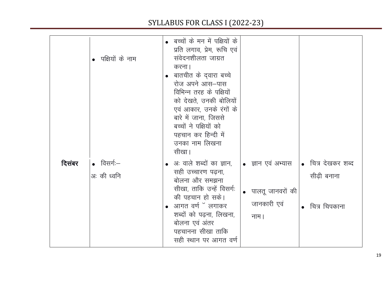|        | • पक्षियों के नाम                 | • बच्चों के मन में पक्षियों के<br>प्रति लगाव, प्रेम, रूचि एवं<br>संवेदनशीलता जाग्रत<br>करना।<br>• बातचीत के द्वारा बच्चे<br>रोज अपने आस-पास<br>विभिन्न तरह के पक्षियों<br>को देखते, उनकी बोलियों<br>एवं आकार, उनके रंगों के<br>बारे में जाना, जिससे<br>बच्चों ने पक्षियों को<br>पहचान कर हिन्दी में<br>उनका नाम लिखना<br>सीखा। |                                                                 |                                                    |
|--------|-----------------------------------|--------------------------------------------------------------------------------------------------------------------------------------------------------------------------------------------------------------------------------------------------------------------------------------------------------------------------------|-----------------------------------------------------------------|----------------------------------------------------|
| दिसंबर | $\bullet$ विसर्गः-<br>अः की ध्वनि | • अः वाले शब्दों का ज्ञान,<br>सही उच्चारण पढ़ना,<br>बोलना और समझना<br>सीखा, ताकि उन्हें विसर्गः<br>की पहचान हो सके।<br>• आगत वर्ण ँ लगाकर<br>शब्दों को पढ़ना, लिखना,<br>बोलना एवं अंतर<br>पहचानना सीखा ताकि<br>सही स्थान पर आगत वर्ण                                                                                           | • ज्ञान एवं अभ्यास<br>• पालतू जानवरों की<br>जानकारी एवं<br>नाम। | • चित्र देखकर शब्द<br>सीढ़ी बनाना<br>चित्र चिपकाना |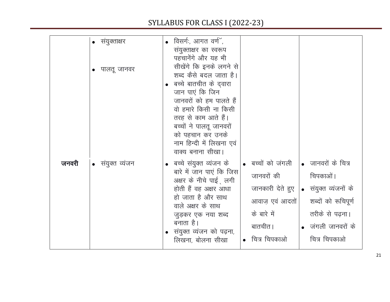|       | • संयुक्ताक्षर<br>पालतू जानवर | विसर्गः, आगत वर्ण",<br>संयुक्ताक्षर का स्वरूप<br>पहचानेंगे और यह भी<br>सीखेंगे कि इनके लगने से<br>शब्द कैसे बदल जाता है।<br>बच्चे बातचीत के दवारा<br>जान पाएं कि जिन<br>जानवरों को हम पालते हैं<br>वो हमारे किसी ना किसी<br>तरह से काम आते हैं।<br>बच्चों ने पालतू जानवरों<br>को पहचान कर उनके<br>नाम हिन्दी में लिखना एवं<br>वाक्य बनाना सीखा।         |                                                                                                                                        |
|-------|-------------------------------|---------------------------------------------------------------------------------------------------------------------------------------------------------------------------------------------------------------------------------------------------------------------------------------------------------------------------------------------------------|----------------------------------------------------------------------------------------------------------------------------------------|
| जनवरी | संयुक्त व्यंजन<br>$\bullet$   | बच्चों को जंगली<br>ंबच्चे संयुक्त व्यंजन के<br>बारे में जान पाएं कि जिस<br>जानवरों की<br>अक्षर के नीचे पाई ़लगी<br>जानकारी देते हुए<br>होती हैं वह अक्षर आधा<br>हो जाता है और साथ<br>आवाज़ एवं आदतों<br>वाले अक्षर के साथ<br>के बारे में<br>जुड़कर एक नया शब्द<br>बनाता है।<br>बातचीत।<br>संयुक्त व्यंजन को पढ़ना,<br>चित्र चिपकाओ<br>लिखना, बोलना सीखा | • जानवरों के चित्र<br>चिपकाओं ।<br>• संयुक्त व्यंजनों के<br>शब्दों को रूचिपूर्ण<br>तरीके से पढ़ना।<br>जंगली जानवरों के<br>चित्र चिपकाओ |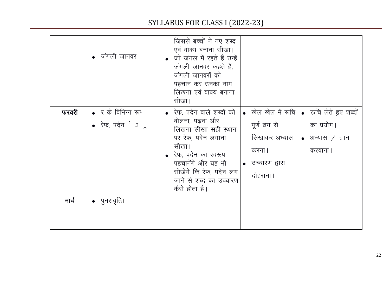|       | • जंगली जानवर                                   | जिससे बच्चों ने नए शब्द<br>एवं वाक्य बनाना सीखा।<br>जो जंगल में रहते हैं उन्हें<br>जंगली जानवर कहते हैं,<br>जंगली जानवरों को<br>पहचान कर उनका नाम<br>लिखना एवं वाक्य बनाना<br>सीखा।                                       |                                                                         |                                                                                                              |
|-------|-------------------------------------------------|---------------------------------------------------------------------------------------------------------------------------------------------------------------------------------------------------------------------------|-------------------------------------------------------------------------|--------------------------------------------------------------------------------------------------------------|
| फरवरी | • र के विभिन्न रूप<br>• रेफ, पदेन $\int$ $\int$ | • रेफ, पदेन वाले शब्दों को<br>बोलना, पढना और<br>लिखना सीखा सही स्थान<br>पर रेफ, पदेन लगाना<br>सीखा।<br>• रेफ, पदेन का स्वरूप<br>पहचानेंगे और यह भी<br>सीखेंगे कि रेफ, पदेन लग<br>जाने से शब्द का उच्चारण<br>कैसे होता है। | पूर्ण ढंग से<br>सिखाकर अभ्यास<br>करना  <br>• उच्चारण द्वारा<br>दोहराना। | • खेल खेल में रूचि  • रूचि लेते हुए शब्दों<br>का प्रयोग।<br>$\vert \bullet \vert$ अभ्यास / ज्ञान<br>करवाना । |
| मार्च | $\bullet$ पुनरावृत्ति                           |                                                                                                                                                                                                                           |                                                                         |                                                                                                              |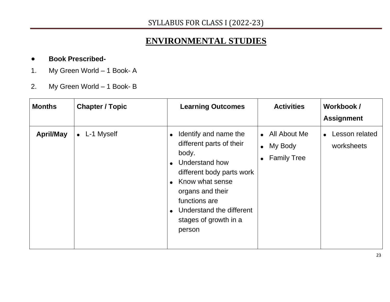### **ENVIRONMENTAL STUDIES**

#### ● **Book Prescribed-**

- 1. My Green World 1 Book- A
- 2. My Green World 1 Book- B

| <b>Months</b>    | <b>Chapter / Topic</b> | <b>Learning Outcomes</b>                                                                                                                                                                                                                          | <b>Activities</b>                                            | Workbook /<br><b>Assignment</b>           |
|------------------|------------------------|---------------------------------------------------------------------------------------------------------------------------------------------------------------------------------------------------------------------------------------------------|--------------------------------------------------------------|-------------------------------------------|
| <b>April/May</b> | $\bullet$ L-1 Myself   | Identify and name the<br>$\bullet$<br>different parts of their<br>body.<br>Understand how<br>different body parts work<br>• Know what sense<br>organs and their<br>functions are<br>• Understand the different<br>stages of growth in a<br>person | • All About Me<br>My Body<br>$\bullet$<br><b>Family Tree</b> | Lesson related<br>$\bullet$<br>worksheets |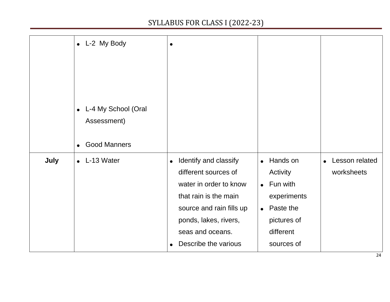|      | • L-2 My Body<br>L-4 My School (Oral<br>$\bullet$<br>Assessment)<br><b>Good Manners</b><br>$\bullet$ | $\bullet$                                                                                                                                                                                                      |                                                                                                                                            |                                           |
|------|------------------------------------------------------------------------------------------------------|----------------------------------------------------------------------------------------------------------------------------------------------------------------------------------------------------------------|--------------------------------------------------------------------------------------------------------------------------------------------|-------------------------------------------|
| July | $\bullet$ L-13 Water                                                                                 | Identify and classify<br>$\bullet$<br>different sources of<br>water in order to know<br>that rain is the main<br>source and rain fills up<br>ponds, lakes, rivers,<br>seas and oceans.<br>Describe the various | Hands on<br>$\bullet$<br>Activity<br>$\bullet$ Fun with<br>experiments<br>Paste the<br>$\bullet$<br>pictures of<br>different<br>sources of | Lesson related<br>$\bullet$<br>worksheets |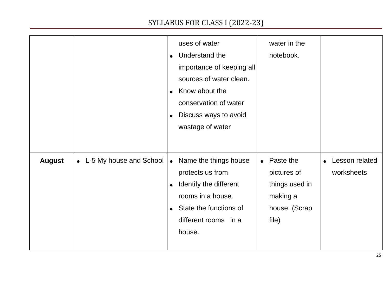|               |                           | uses of water<br>Understand the<br>$\bullet$<br>importance of keeping all<br>sources of water clean.<br>Know about the<br>$\bullet$<br>conservation of water<br>Discuss ways to avoid<br>$\bullet$<br>wastage of water | water in the<br>notebook.                                                                     |                              |
|---------------|---------------------------|------------------------------------------------------------------------------------------------------------------------------------------------------------------------------------------------------------------------|-----------------------------------------------------------------------------------------------|------------------------------|
| <b>August</b> | • L-5 My house and School | • Name the things house<br>protects us from<br>Identify the different<br>$\bullet$<br>rooms in a house.<br>• State the functions of<br>different rooms in a<br>house.                                                  | Paste the<br>$\bullet$<br>pictures of<br>things used in<br>making a<br>house. (Scrap<br>file) | Lesson related<br>worksheets |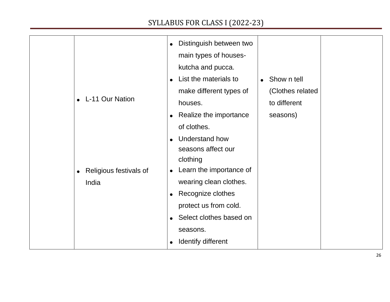| $\bullet$<br>$\bullet$<br>India | L-11 Our Nation<br>Religious festivals of | • Distinguish between two<br>main types of houses-<br>kutcha and pucca.<br>List the materials to<br>make different types of<br>houses.<br>• Realize the importance<br>of clothes.<br><b>Understand how</b><br>seasons affect our<br>clothing<br>Learn the importance of<br>$\bullet$<br>wearing clean clothes.<br>• Recognize clothes<br>protect us from cold.<br>Select clothes based on<br>seasons.<br>Identify different<br>$\bullet$ | Show n tell<br>$\bullet$<br>(Clothes related<br>to different<br>seasons) |  |
|---------------------------------|-------------------------------------------|------------------------------------------------------------------------------------------------------------------------------------------------------------------------------------------------------------------------------------------------------------------------------------------------------------------------------------------------------------------------------------------------------------------------------------------|--------------------------------------------------------------------------|--|
|                                 |                                           |                                                                                                                                                                                                                                                                                                                                                                                                                                          |                                                                          |  |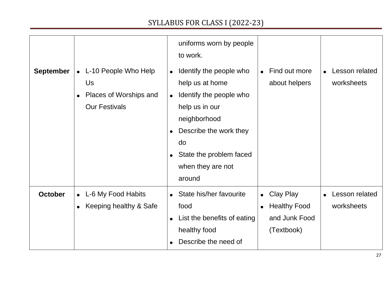|                  |                                                                                             | uniforms worn by people<br>to work.                                                                                                                                                                                                                   |                                                                                                  |                                           |
|------------------|---------------------------------------------------------------------------------------------|-------------------------------------------------------------------------------------------------------------------------------------------------------------------------------------------------------------------------------------------------------|--------------------------------------------------------------------------------------------------|-------------------------------------------|
| <b>September</b> | • L-10 People Who Help<br>Us<br>Places of Worships and<br>$\bullet$<br><b>Our Festivals</b> | Identify the people who<br>$\bullet$<br>help us at home<br>Identify the people who<br>$\bullet$<br>help us in our<br>neighborhood<br>Describe the work they<br>$\bullet$<br>do<br>State the problem faced<br>$\bullet$<br>when they are not<br>around | Find out more<br>about helpers                                                                   | Lesson related<br>$\bullet$<br>worksheets |
| <b>October</b>   | L-6 My Food Habits<br>$\bullet$<br>Keeping healthy & Safe<br>$\bullet$                      | • State his/her favourite<br>food<br>List the benefits of eating<br>$\bullet$<br>healthy food<br>Describe the need of                                                                                                                                 | <b>Clay Play</b><br>$\bullet$<br><b>Healthy Food</b><br>$\bullet$<br>and Junk Food<br>(Textbook) | Lesson related<br>worksheets              |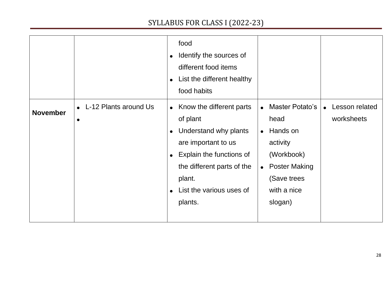|                 |                                                 | food<br>Identify the sources of<br>$\bullet$<br>different food items<br>List the different healthy<br>$\bullet$<br>food habits                                                                    |                                                                                                                                                                              |                                           |
|-----------------|-------------------------------------------------|---------------------------------------------------------------------------------------------------------------------------------------------------------------------------------------------------|------------------------------------------------------------------------------------------------------------------------------------------------------------------------------|-------------------------------------------|
| <b>November</b> | L-12 Plants around Us<br>$\bullet$<br>$\bullet$ | • Know the different parts<br>of plant<br>Understand why plants<br>are important to us<br>Explain the functions of<br>the different parts of the<br>plant.<br>List the various uses of<br>plants. | <b>Master Potato's</b><br>$\bullet$<br>head<br>Hands on<br>$\bullet$<br>activity<br>(Workbook)<br><b>Poster Making</b><br>$\bullet$<br>(Save trees<br>with a nice<br>slogan) | Lesson related<br>$\bullet$<br>worksheets |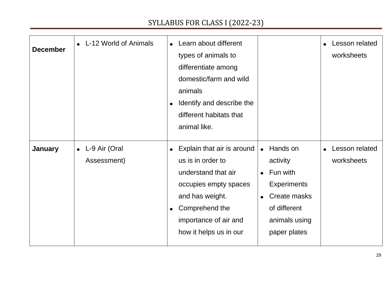| <b>December</b> | • L-12 World of Animals        | • Learn about different<br>types of animals to<br>differentiate among<br>domestic/farm and wild<br>animals<br>Identify and describe the<br>different habitats that<br>animal like.                   |                                                                                                                                                   | Lesson related<br>$\bullet$<br>worksheets |
|-----------------|--------------------------------|------------------------------------------------------------------------------------------------------------------------------------------------------------------------------------------------------|---------------------------------------------------------------------------------------------------------------------------------------------------|-------------------------------------------|
|                 |                                |                                                                                                                                                                                                      |                                                                                                                                                   |                                           |
| <b>January</b>  | • L-9 Air (Oral<br>Assessment) | Explain that air is around<br>us is in order to<br>understand that air<br>occupies empty spaces<br>and has weight.<br>Comprehend the<br>$\bullet$<br>importance of air and<br>how it helps us in our | Hands on<br>$\bullet$<br>activity<br>Fun with<br>$\bullet$<br><b>Experiments</b><br>Create masks<br>of different<br>animals using<br>paper plates | Lesson related<br>worksheets              |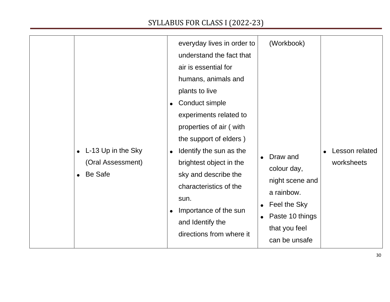|                                                    | everyday lives in order to                                                                                                                                                                                      | (Workbook)                                                                                                                    |                              |
|----------------------------------------------------|-----------------------------------------------------------------------------------------------------------------------------------------------------------------------------------------------------------------|-------------------------------------------------------------------------------------------------------------------------------|------------------------------|
|                                                    | understand the fact that<br>air is essential for<br>humans, animals and<br>plants to live<br>Conduct simple<br>experiments related to<br>properties of air (with                                                |                                                                                                                               |                              |
| L-13 Up in the Sky<br>(Oral Assessment)<br>Be Safe | the support of elders)<br>Identify the sun as the<br>brightest object in the<br>sky and describe the<br>characteristics of the<br>sun.<br>Importance of the sun<br>and Identify the<br>directions from where it | Draw and<br>colour day,<br>night scene and<br>a rainbow.<br>Feel the Sky<br>Paste 10 things<br>that you feel<br>can be unsafe | Lesson related<br>worksheets |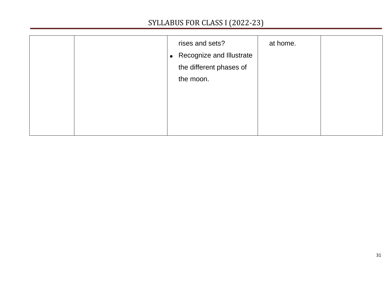|  | rises and sets?<br>• Recognize and Illustrate<br>the different phases of<br>the moon. | at home. |  |
|--|---------------------------------------------------------------------------------------|----------|--|
|  |                                                                                       |          |  |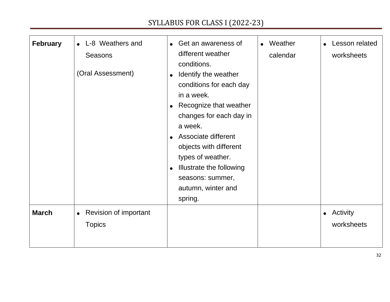| <b>February</b> | L-8 Weathers and<br><b>Seasons</b><br>(Oral Assessment) | • Get an awareness of<br>different weather<br>conditions.<br>Identify the weather<br>$\bullet$<br>conditions for each day<br>in a week.<br>• Recognize that weather<br>changes for each day in<br>a week.<br>Associate different<br>$\bullet$<br>objects with different<br>types of weather.<br>Illustrate the following<br>$\bullet$<br>seasons: summer,<br>autumn, winter and<br>spring. | Weather<br>$\bullet$<br>calendar | Lesson related<br>worksheets |
|-----------------|---------------------------------------------------------|--------------------------------------------------------------------------------------------------------------------------------------------------------------------------------------------------------------------------------------------------------------------------------------------------------------------------------------------------------------------------------------------|----------------------------------|------------------------------|
| <b>March</b>    | Revision of important<br>$\bullet$<br><b>Topics</b>     |                                                                                                                                                                                                                                                                                                                                                                                            |                                  | • Activity<br>worksheets     |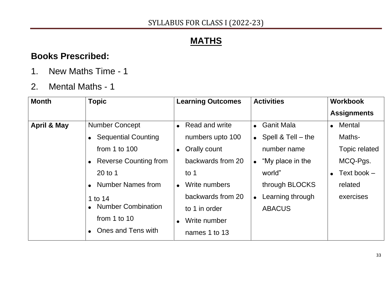## **MATHS**

### **Books Prescribed:**

- 1. New Maths Time 1
- 2. Mental Maths 1

| <b>Month</b>           | <b>Topic</b>               | <b>Learning Outcomes</b>    | <b>Activities</b>          | <b>Workbook</b>         |
|------------------------|----------------------------|-----------------------------|----------------------------|-------------------------|
|                        |                            |                             |                            | <b>Assignments</b>      |
| <b>April &amp; May</b> | <b>Number Concept</b>      | Read and write<br>$\bullet$ | • Ganit Mala               | • Mental                |
|                        | <b>Sequential Counting</b> | numbers upto 100            | • Spell & Tell $-$ the     | Maths-                  |
|                        | from 1 to $100$            | Orally count<br>$\bullet$   | number name                | Topic related           |
|                        | • Reverse Counting from    | backwards from 20           | $\bullet$ "My place in the | MCQ-Pgs.                |
|                        | $20$ to 1                  | to $1$                      | world"                     | $\bullet$ Text book $-$ |
|                        | <b>Number Names from</b>   | Write numbers<br>$\bullet$  | through BLOCKS             | related                 |
|                        | 1 to 14                    | backwards from 20           | • Learning through         | exercises               |
|                        | <b>Number Combination</b>  | to 1 in order               | <b>ABACUS</b>              |                         |
|                        | from 1 to 10               | Write number<br>$\bullet$   |                            |                         |
|                        | Ones and Tens with         | names 1 to 13               |                            |                         |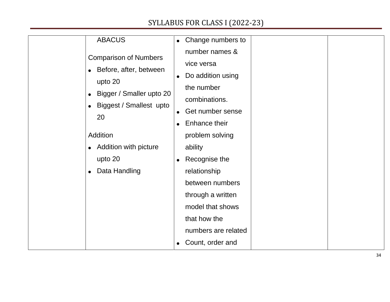| <b>ABACUS</b>                             | Change numbers to<br>$\bullet$ |
|-------------------------------------------|--------------------------------|
| <b>Comparison of Numbers</b>              | number names &                 |
|                                           | vice versa                     |
| • Before, after, between                  | Do addition using<br>$\bullet$ |
| upto 20                                   | the number                     |
| Bigger / Smaller upto 20                  | combinations.                  |
| <b>Biggest / Smallest upto</b>            | Get number sense<br>$\bullet$  |
| 20                                        | Enhance their                  |
| Addition                                  | problem solving                |
| <b>Addition with picture</b><br>$\bullet$ | ability                        |
| upto 20                                   | Recognise the                  |
| Data Handling<br>$\bullet$                | relationship                   |
|                                           | between numbers                |
|                                           | through a written              |
|                                           | model that shows               |
|                                           | that how the                   |
|                                           | numbers are related            |
|                                           | Count, order and               |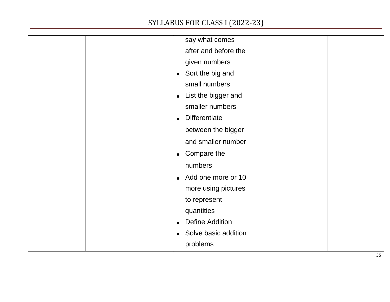|  | say what comes                    |  |
|--|-----------------------------------|--|
|  | after and before the              |  |
|  | given numbers                     |  |
|  | • Sort the big and                |  |
|  | small numbers                     |  |
|  | List the bigger and<br>$\bullet$  |  |
|  | smaller numbers                   |  |
|  | <b>Differentiate</b>              |  |
|  | between the bigger                |  |
|  | and smaller number                |  |
|  | Compare the<br>$\bullet$          |  |
|  | numbers                           |  |
|  | Add one more or 10<br>$\bullet$   |  |
|  | more using pictures               |  |
|  | to represent                      |  |
|  | quantities                        |  |
|  | <b>Define Addition</b>            |  |
|  | Solve basic addition<br>$\bullet$ |  |
|  | problems                          |  |
|  |                                   |  |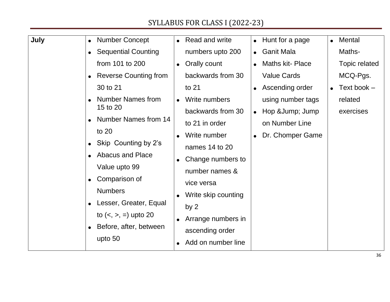| July | <b>Number Concept</b><br>$\bullet$                                                                                                                                                             | Read and write                                                                                                                                              | Hunt for a page                                                     | Mental<br>$\bullet$ |
|------|------------------------------------------------------------------------------------------------------------------------------------------------------------------------------------------------|-------------------------------------------------------------------------------------------------------------------------------------------------------------|---------------------------------------------------------------------|---------------------|
|      | <b>Sequential Counting</b><br>$\bullet$                                                                                                                                                        | numbers upto 200                                                                                                                                            | <b>Ganit Mala</b>                                                   | Maths-              |
|      | from 101 to 200                                                                                                                                                                                | Orally count                                                                                                                                                | <b>Maths kit-Place</b>                                              | Topic related       |
|      | <b>Reverse Counting from</b>                                                                                                                                                                   | backwards from 30                                                                                                                                           | <b>Value Cards</b>                                                  | MCQ-Pgs.            |
|      | 30 to 21                                                                                                                                                                                       | to 21                                                                                                                                                       | Ascending order<br>$\bullet$                                        | Text book -         |
|      | <b>Number Names from</b>                                                                                                                                                                       | Write numbers                                                                                                                                               | using number tags                                                   | related             |
|      | 15 to 20<br><b>Number Names from 14</b><br>to 20<br>Skip Counting by 2's<br><b>Abacus and Place</b><br>Value upto 99<br>Comparison of<br>$\bullet$<br><b>Numbers</b><br>Lesser, Greater, Equal | backwards from 30<br>to 21 in order<br>Write number<br>names 14 to 20<br>Change numbers to<br>number names &<br>vice versa<br>Write skip counting<br>by $2$ | Hop & Jump; Jump<br>$\bullet$<br>on Number Line<br>Dr. Chomper Game | exercises           |
|      | to $(<, >, =)$ upto 20<br>Before, after, between<br>upto 50                                                                                                                                    | Arrange numbers in<br>ascending order<br>Add on number line                                                                                                 |                                                                     |                     |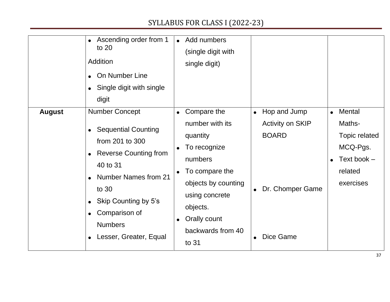|               | Ascending order from 1<br>to 20<br>Addition<br>On Number Line<br>Single digit with single<br>digit                                                                                                                                              | Add numbers<br>$\bullet$<br>(single digit with<br>single digit)                                                                                                                                         |                                                                                                                                 |                                                                                                   |
|---------------|-------------------------------------------------------------------------------------------------------------------------------------------------------------------------------------------------------------------------------------------------|---------------------------------------------------------------------------------------------------------------------------------------------------------------------------------------------------------|---------------------------------------------------------------------------------------------------------------------------------|---------------------------------------------------------------------------------------------------|
| <b>August</b> | <b>Number Concept</b><br><b>Sequential Counting</b><br>from 201 to 300<br><b>Reverse Counting from</b><br>40 to 31<br><b>Number Names from 21</b><br>to 30<br>Skip Counting by 5's<br>Comparison of<br><b>Numbers</b><br>Lesser, Greater, Equal | Compare the<br>number with its<br>quantity<br>To recognize<br>numbers<br>To compare the<br>objects by counting<br>using concrete<br>objects.<br>Orally count<br>$\bullet$<br>backwards from 40<br>to 31 | Hop and Jump<br>$\bullet$<br><b>Activity on SKIP</b><br><b>BOARD</b><br>Dr. Chomper Game<br>$\bullet$<br>Dice Game<br>$\bullet$ | Mental<br>$\bullet$<br>Maths-<br>Topic related<br>MCQ-Pgs.<br>Text book -<br>related<br>exercises |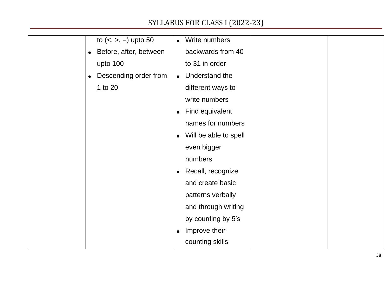| to $(<, >, =)$ upto 50              | Write numbers<br>$\bullet$         |
|-------------------------------------|------------------------------------|
| Before, after, between<br>$\bullet$ | backwards from 40                  |
| upto 100                            | to 31 in order                     |
| Descending order from<br>$\bullet$  | Understand the<br>$\bullet$        |
| 1 to 20                             | different ways to                  |
|                                     | write numbers                      |
|                                     | Find equivalent<br>$\bullet$       |
|                                     | names for numbers                  |
|                                     | Will be able to spell<br>$\bullet$ |
|                                     | even bigger                        |
|                                     | numbers                            |
|                                     | Recall, recognize<br>$\bullet$     |
|                                     | and create basic                   |
|                                     | patterns verbally                  |
|                                     | and through writing                |
|                                     | by counting by 5's                 |
|                                     | Improve their<br>$\bullet$         |
|                                     | counting skills                    |
|                                     |                                    |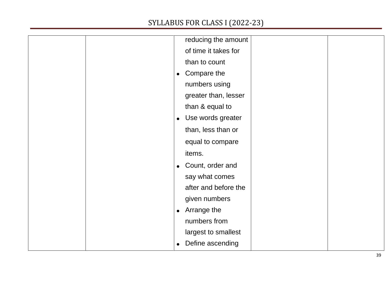| reducing the amount            |  |
|--------------------------------|--|
| of time it takes for           |  |
| than to count                  |  |
| Compare the<br>$\bullet$       |  |
| numbers using                  |  |
| greater than, lesser           |  |
| than & equal to                |  |
| Use words greater<br>$\bullet$ |  |
| than, less than or             |  |
| equal to compare               |  |
| items.                         |  |
| Count, order and<br>$\bullet$  |  |
| say what comes                 |  |
| after and before the           |  |
| given numbers                  |  |
| Arrange the<br>$\bullet$       |  |
| numbers from                   |  |
| largest to smallest            |  |
| Define ascending               |  |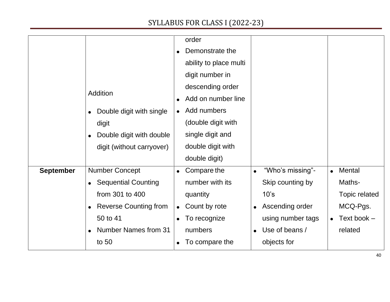|                  |                              | order                        |                               |                      |
|------------------|------------------------------|------------------------------|-------------------------------|----------------------|
|                  |                              | Demonstrate the<br>$\bullet$ |                               |                      |
|                  |                              | ability to place multi       |                               |                      |
|                  |                              | digit number in              |                               |                      |
|                  |                              | descending order             |                               |                      |
|                  | Addition                     | Add on number line           |                               |                      |
|                  | Double digit with single     | Add numbers<br>$\bullet$     |                               |                      |
|                  | digit                        | (double digit with           |                               |                      |
|                  | Double digit with double     | single digit and             |                               |                      |
|                  | digit (without carryover)    | double digit with            |                               |                      |
|                  |                              | double digit)                |                               |                      |
| <b>September</b> | <b>Number Concept</b>        | Compare the<br>$\bullet$     | "Who's missing"-<br>$\bullet$ | Mental<br>$\bullet$  |
|                  | • Sequential Counting        | number with its              | Skip counting by              | Maths-               |
|                  | from 301 to 400              | quantity                     | 10's                          | <b>Topic related</b> |
|                  | <b>Reverse Counting from</b> | Count by rote<br>$\bullet$   | Ascending order<br>$\bullet$  | MCQ-Pgs.             |
|                  | 50 to 41                     | To recognize<br>$\bullet$    | using number tags             | Text book -          |
|                  | <b>Number Names from 31</b>  | numbers                      | Use of beans /<br>$\bullet$   | related              |
|                  | to 50                        | To compare the               | objects for                   |                      |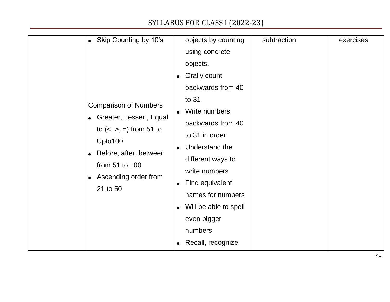| Skip Counting by 10's<br>$\bullet$<br>$\bullet$<br><b>Comparison of Numbers</b><br>$\bullet$<br>Greater, Lesser, Equal<br>$\bullet$<br>to $(<, >, =)$ from 51 to<br>Upto100<br>$\bullet$<br>Before, after, between<br>$\bullet$<br>from 51 to 100<br>Ascending order from<br>$\bullet$<br>21 to 50<br>$\bullet$ | objects by counting<br>using concrete<br>objects.<br>Orally count<br>backwards from 40<br>to 31<br>Write numbers<br>backwards from 40<br>to 31 in order<br>Understand the<br>different ways to<br>write numbers<br>Find equivalent<br>names for numbers<br>Will be able to spell | subtraction | exercises |
|-----------------------------------------------------------------------------------------------------------------------------------------------------------------------------------------------------------------------------------------------------------------------------------------------------------------|----------------------------------------------------------------------------------------------------------------------------------------------------------------------------------------------------------------------------------------------------------------------------------|-------------|-----------|
|-----------------------------------------------------------------------------------------------------------------------------------------------------------------------------------------------------------------------------------------------------------------------------------------------------------------|----------------------------------------------------------------------------------------------------------------------------------------------------------------------------------------------------------------------------------------------------------------------------------|-------------|-----------|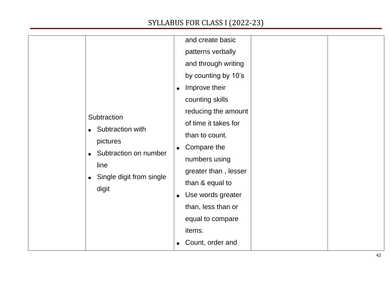| Subtraction<br>Subtraction with<br>$\bullet$<br>pictures<br>Subtraction on number<br>$\bullet$<br>line<br>Single digit from single<br>$\bullet$<br>digit | and create basic<br>patterns verbally<br>and through writing<br>by counting by 10's<br>Improve their<br>$\bullet$<br>counting skills<br>reducing the amount<br>of time it takes for<br>than to count.<br>Compare the<br>$\bullet$<br>numbers using<br>greater than, lesser<br>than & equal to<br>Use words greater<br>$\bullet$<br>than, less than or<br>equal to compare<br>items. |
|----------------------------------------------------------------------------------------------------------------------------------------------------------|-------------------------------------------------------------------------------------------------------------------------------------------------------------------------------------------------------------------------------------------------------------------------------------------------------------------------------------------------------------------------------------|
|                                                                                                                                                          | Count, order and                                                                                                                                                                                                                                                                                                                                                                    |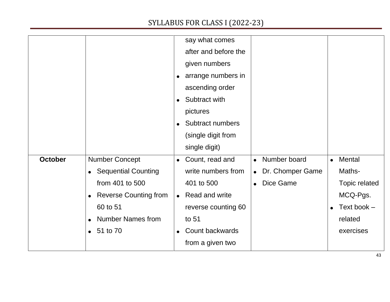|                |                              | say what comes                     |                               |                     |
|----------------|------------------------------|------------------------------------|-------------------------------|---------------------|
|                |                              | after and before the               |                               |                     |
|                |                              | given numbers                      |                               |                     |
|                |                              | arrange numbers in<br>$\bullet$    |                               |                     |
|                |                              | ascending order                    |                               |                     |
|                |                              | Subtract with<br>$\bullet$         |                               |                     |
|                |                              | pictures                           |                               |                     |
|                |                              | Subtract numbers                   |                               |                     |
|                |                              | (single digit from                 |                               |                     |
|                |                              | single digit)                      |                               |                     |
| <b>October</b> | <b>Number Concept</b>        | Count, read and<br>$\bullet$       | Number board<br>$\bullet$     | Mental<br>$\bullet$ |
|                | <b>Sequential Counting</b>   | write numbers from                 | Dr. Chomper Game<br>$\bullet$ | Maths-              |
|                | from 401 to 500              | 401 to 500                         | Dice Game<br>$\bullet$        | Topic related       |
|                | <b>Reverse Counting from</b> | <b>Read and write</b><br>$\bullet$ |                               | MCQ-Pgs.            |
|                | 60 to 51                     | reverse counting 60                |                               | Text book $-$       |
|                | <b>Number Names from</b>     | to 51                              |                               | related             |
|                | • 51 to 70                   | Count backwards                    |                               | exercises           |
|                |                              | from a given two                   |                               |                     |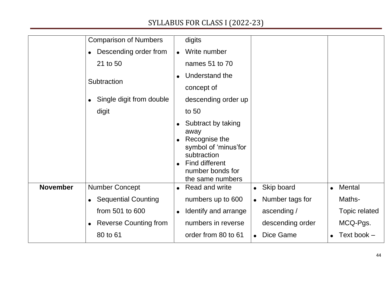|                 | <b>Comparison of Numbers</b> | digits                                                                                                                                                     |                              |               |
|-----------------|------------------------------|------------------------------------------------------------------------------------------------------------------------------------------------------------|------------------------------|---------------|
|                 | Descending order from        | Write number<br>$\bullet$                                                                                                                                  |                              |               |
|                 | 21 to 50                     | names 51 to 70                                                                                                                                             |                              |               |
|                 |                              | Understand the                                                                                                                                             |                              |               |
|                 | Subtraction                  | concept of                                                                                                                                                 |                              |               |
|                 | Single digit from double     | descending order up                                                                                                                                        |                              |               |
|                 | digit                        | to 50                                                                                                                                                      |                              |               |
|                 |                              | Subtract by taking<br>$\bullet$<br>away<br>Recognise the<br>symbol of 'minus' for<br>subtraction<br>Find different<br>number bonds for<br>the same numbers |                              |               |
| <b>November</b> | <b>Number Concept</b>        | <b>Read and write</b>                                                                                                                                      | Skip board<br>$\bullet$      | Mental        |
|                 | • Sequential Counting        | numbers up to 600                                                                                                                                          | Number tags for<br>$\bullet$ | Maths-        |
|                 | from 501 to 600              | Identify and arrange<br>$\bullet$                                                                                                                          | ascending /                  | Topic related |
|                 | <b>Reverse Counting from</b> | numbers in reverse                                                                                                                                         | descending order             | MCQ-Pgs.      |
|                 | 80 to 61                     | order from 80 to 61                                                                                                                                        | Dice Game                    | Text book -   |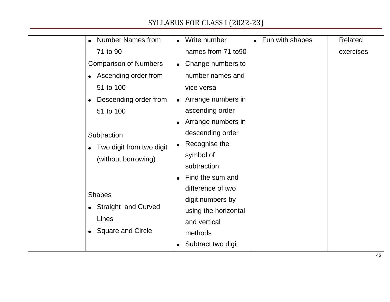| <b>Number Names from</b>     | Fun with shapes<br>Write number<br>$\bullet$ | Related   |
|------------------------------|----------------------------------------------|-----------|
| 71 to 90                     | names from 71 to90                           | exercises |
| <b>Comparison of Numbers</b> | Change numbers to<br>$\bullet$               |           |
| Ascending order from         | number names and                             |           |
| 51 to 100                    | vice versa                                   |           |
| Descending order from        | Arrange numbers in<br>$\bullet$              |           |
| 51 to 100                    | ascending order                              |           |
|                              | Arrange numbers in<br>$\bullet$              |           |
| Subtraction                  | descending order                             |           |
| Two digit from two digit     | Recognise the<br>$\bullet$                   |           |
| (without borrowing)          | symbol of                                    |           |
|                              | subtraction                                  |           |
|                              | Find the sum and<br>$\bullet$                |           |
| <b>Shapes</b>                | difference of two                            |           |
| • Straight and Curved        | digit numbers by                             |           |
| Lines                        | using the horizontal                         |           |
|                              | and vertical                                 |           |
| <b>Square and Circle</b>     | methods                                      |           |
|                              | Subtract two digit                           |           |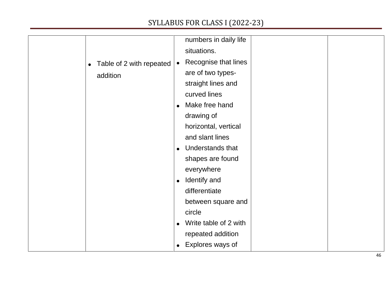|                                       | numbers in daily life             |
|---------------------------------------|-----------------------------------|
|                                       | situations.                       |
| Table of 2 with repeated<br>$\bullet$ | Recognise that lines<br>$\bullet$ |
| addition                              | are of two types-                 |
|                                       | straight lines and                |
|                                       | curved lines                      |
|                                       | Make free hand<br>$\bullet$       |
|                                       | drawing of                        |
|                                       | horizontal, vertical              |
|                                       | and slant lines                   |
|                                       | Understands that                  |
|                                       | shapes are found                  |
|                                       | everywhere                        |
|                                       | Identify and<br>$\bullet$         |
|                                       | differentiate                     |
|                                       | between square and                |
|                                       | circle                            |
|                                       | Write table of 2 with             |
|                                       | repeated addition                 |
|                                       | Explores ways of                  |
|                                       |                                   |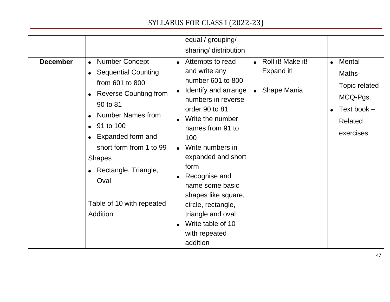| <b>December</b> | • Number Concept<br>• Sequential Counting<br>from 601 to 800<br><b>Reverse Counting from</b><br>90 to 81                                                                                         | equal / grouping/<br>sharing/ distribution<br>Attempts to read<br>and write any<br>number 601 to 800<br>Identify and arrange<br>numbers in reverse                                                                                                                      | Roll it! Make it!<br>$\bullet$<br>Expand it!<br><b>Shape Mania</b> | • Mental<br>Maths-<br>Topic related<br>MCQ-Pgs. |
|-----------------|--------------------------------------------------------------------------------------------------------------------------------------------------------------------------------------------------|-------------------------------------------------------------------------------------------------------------------------------------------------------------------------------------------------------------------------------------------------------------------------|--------------------------------------------------------------------|-------------------------------------------------|
|                 | <b>Number Names from</b><br>$\bullet$ 91 to 100<br>Expanded form and<br>short form from 1 to 99<br><b>Shapes</b><br>Rectangle, Triangle,<br>Oval<br>Table of 10 with repeated<br><b>Addition</b> | order 90 to 81<br>Write the number<br>names from 91 to<br>100<br>Write numbers in<br>expanded and short<br>form<br>Recognise and<br>name some basic<br>shapes like square,<br>circle, rectangle,<br>triangle and oval<br>Write table of 10<br>with repeated<br>addition |                                                                    | Text book $-$<br><b>Related</b><br>exercises    |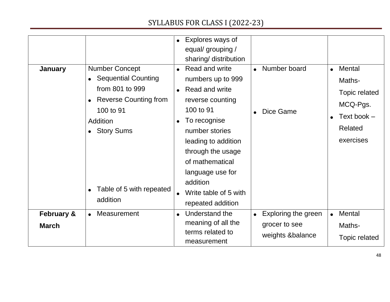|                                       |                                                                                                                                                                                              | Explores ways of<br>$\bullet$<br>equal/ grouping /<br>sharing/ distribution                                                                                                                                                                                                                                  |                                                                       |                                                                                                |
|---------------------------------------|----------------------------------------------------------------------------------------------------------------------------------------------------------------------------------------------|--------------------------------------------------------------------------------------------------------------------------------------------------------------------------------------------------------------------------------------------------------------------------------------------------------------|-----------------------------------------------------------------------|------------------------------------------------------------------------------------------------|
| <b>January</b>                        | <b>Number Concept</b><br><b>Sequential Counting</b><br>from 801 to 999<br><b>Reverse Counting from</b><br>100 to 91<br>Addition<br><b>Story Sums</b><br>Table of 5 with repeated<br>addition | Read and write<br>$\bullet$<br>numbers up to 999<br>Read and write<br>$\bullet$<br>reverse counting<br>100 to 91<br>To recognise<br>$\bullet$<br>number stories<br>leading to addition<br>through the usage<br>of mathematical<br>language use for<br>addition<br>Write table of 5 with<br>repeated addition | Number board<br>Dice Game                                             | $\bullet$ Mental<br>Maths-<br>Topic related<br>MCQ-Pgs.<br>Text book -<br>Related<br>exercises |
| <b>February &amp;</b><br><b>March</b> | <b>Measurement</b>                                                                                                                                                                           | Understand the<br>$\bullet$<br>meaning of all the<br>terms related to<br>measurement                                                                                                                                                                                                                         | Exploring the green<br>$\bullet$<br>grocer to see<br>weights &balance | Mental<br>Maths-<br><b>Topic related</b>                                                       |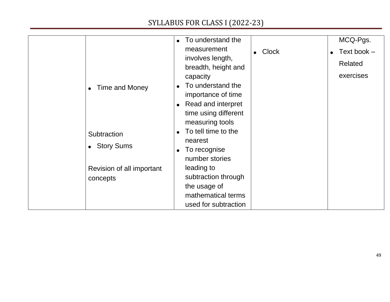|                           | To understand the                       |                           | MCQ-Pgs.      |
|---------------------------|-----------------------------------------|---------------------------|---------------|
|                           | measurement                             | <b>Clock</b><br>$\bullet$ | Text book $-$ |
|                           | involves length,                        |                           | Related       |
|                           | breadth, height and                     |                           |               |
|                           | capacity                                |                           | exercises     |
| Time and Money            | To understand the<br>$\bullet$          |                           |               |
|                           | importance of time                      |                           |               |
|                           | Read and interpret<br>$\bullet$         |                           |               |
|                           | time using different<br>measuring tools |                           |               |
|                           | To tell time to the                     |                           |               |
| Subtraction               | nearest                                 |                           |               |
| • Story Sums              | To recognise                            |                           |               |
|                           | $\bullet$<br>number stories             |                           |               |
|                           | leading to                              |                           |               |
| Revision of all important | subtraction through                     |                           |               |
| concepts                  | the usage of                            |                           |               |
|                           | mathematical terms                      |                           |               |
|                           | used for subtraction                    |                           |               |
|                           |                                         |                           |               |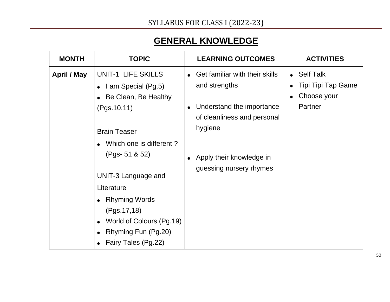# **GENERAL KNOWLEDGE**

| <b>MONTH</b> | <b>TOPIC</b>                                                                                                                                                                                                                                                                                                     | <b>LEARNING OUTCOMES</b>                                                                                                                                                          | <b>ACTIVITIES</b>                                                      |
|--------------|------------------------------------------------------------------------------------------------------------------------------------------------------------------------------------------------------------------------------------------------------------------------------------------------------------------|-----------------------------------------------------------------------------------------------------------------------------------------------------------------------------------|------------------------------------------------------------------------|
| April / May  | UNIT-1 LIFE SKILLS<br>• $1$ am Special (Pg.5)<br>• Be Clean, Be Healthy<br>(Pgs.10, 11)<br><b>Brain Teaser</b><br>Which one is different?<br>$(Pgs - 51 & 52)$<br>UNIT-3 Language and<br>Literature<br>• Rhyming Words<br>(Pgs.17, 18)<br>World of Colours (Pg.19)<br>Rhyming Fun (Pg.20)<br>Fairy Tales (Pg.22) | • Get familiar with their skills<br>and strengths<br>Understand the importance<br>of cleanliness and personal<br>hygiene<br>• Apply their knowledge in<br>guessing nursery rhymes | Self Talk<br>$\bullet$<br>Tipi Tipi Tap Game<br>Choose your<br>Partner |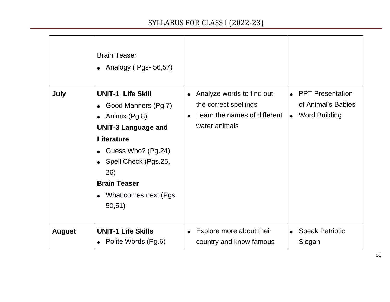|               | <b>Brain Teaser</b><br>• Analogy (Pgs- $56,57$ )                                                                                                                                                                                                                       |                                                                                                     |                                                                  |
|---------------|------------------------------------------------------------------------------------------------------------------------------------------------------------------------------------------------------------------------------------------------------------------------|-----------------------------------------------------------------------------------------------------|------------------------------------------------------------------|
| July          | <b>UNIT-1 Life Skill</b><br>Good Manners (Pg.7)<br>$\bullet$<br>• Animix $(Pg.8)$<br><b>UNIT-3 Language and</b><br><b>Literature</b><br>• Guess Who? $(Pg.24)$<br>• Spell Check (Pgs.25,<br>26)<br><b>Brain Teaser</b><br>What comes next (Pgs.<br>$\bullet$<br>50,51) | Analyze words to find out<br>the correct spellings<br>Learn the names of different<br>water animals | <b>PPT Presentation</b><br>of Animal's Babies<br>• Word Building |
| <b>August</b> | <b>UNIT-1 Life Skills</b><br>• Polite Words (Pg.6)                                                                                                                                                                                                                     | Explore more about their<br>country and know famous                                                 | <b>Speak Patriotic</b><br>Slogan                                 |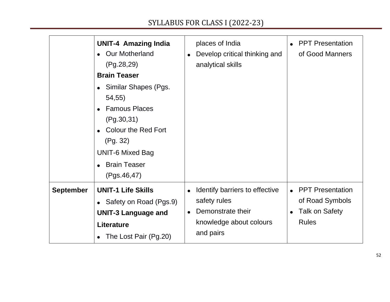|                  | <b>UNIT-4 Amazing India</b><br><b>Our Motherland</b><br>(Pg.28, 29)<br><b>Brain Teaser</b><br>Similar Shapes (Pgs.<br>$\bullet$<br>54,55)<br><b>Famous Places</b><br>$\bullet$<br>(Pg.30,31)<br>Colour the Red Fort<br>$\bullet$<br>(Pg. 32)<br><b>UNIT-6 Mixed Bag</b><br><b>Brain Teaser</b><br>$\bullet$<br>(Pgs.46, 47) | places of India<br>Develop critical thinking and<br>analytical skills                                       | <b>PPT Presentation</b><br>of Good Manners                                   |
|------------------|-----------------------------------------------------------------------------------------------------------------------------------------------------------------------------------------------------------------------------------------------------------------------------------------------------------------------------|-------------------------------------------------------------------------------------------------------------|------------------------------------------------------------------------------|
| <b>September</b> | <b>UNIT-1 Life Skills</b><br>• Safety on Road (Pgs.9)<br><b>UNIT-3 Language and</b><br><b>Literature</b><br>The Lost Pair (Pg.20)                                                                                                                                                                                           | Identify barriers to effective<br>safety rules<br>Demonstrate their<br>knowledge about colours<br>and pairs | <b>PPT Presentation</b><br>of Road Symbols<br>Talk on Safety<br><b>Rules</b> |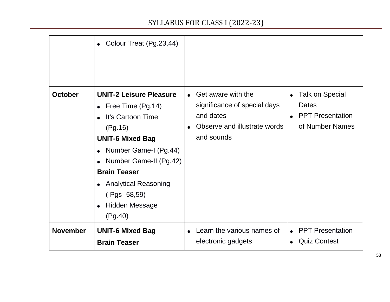|                 | • Colour Treat (Pg.23,44)                                                                                                                                                                                                                                                        |                                                                                                                 |                                                                                                                |
|-----------------|----------------------------------------------------------------------------------------------------------------------------------------------------------------------------------------------------------------------------------------------------------------------------------|-----------------------------------------------------------------------------------------------------------------|----------------------------------------------------------------------------------------------------------------|
| <b>October</b>  | <b>UNIT-2 Leisure Pleasure</b><br>• Free Time $(Pg.14)$<br>It's Cartoon Time<br>(Pg.16)<br><b>UNIT-6 Mixed Bag</b><br>• Number Game-I (Pg.44)<br>Number Game-II (Pg.42)<br><b>Brain Teaser</b><br>• Analytical Reasoning<br>$(Pgs - 58, 59)$<br><b>Hidden Message</b><br>(Pg.40) | • Get aware with the<br>significance of special days<br>and dates<br>Observe and illustrate words<br>and sounds | <b>Talk on Special</b><br>$\bullet$<br><b>Dates</b><br><b>PPT Presentation</b><br>$\bullet$<br>of Number Names |
| <b>November</b> | <b>UNIT-6 Mixed Bag</b><br><b>Brain Teaser</b>                                                                                                                                                                                                                                   | Learn the various names of<br>electronic gadgets                                                                | <b>PPT Presentation</b><br><b>Quiz Contest</b>                                                                 |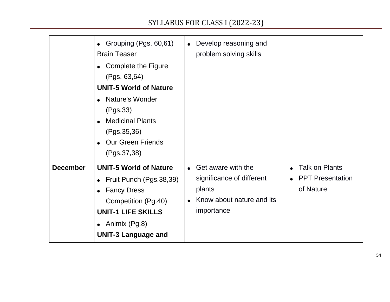| • Grouping (Pgs. 60,61)<br><b>Brain Teaser</b><br>• Complete the Figure<br>(Pgs. 63, 64)<br><b>UNIT-5 World of Nature</b><br>• Nature's Wonder<br>(Pgs.33)<br><b>Medicinal Plants</b><br>$\bullet$<br>(Pgs.35,36)<br><b>Our Green Friends</b><br>(Pgs.37, 38) | Develop reasoning and<br>$\bullet$<br>problem solving skills                                                      |                                                               |
|---------------------------------------------------------------------------------------------------------------------------------------------------------------------------------------------------------------------------------------------------------------|-------------------------------------------------------------------------------------------------------------------|---------------------------------------------------------------|
| <b>December</b><br><b>UNIT-5 World of Nature</b><br>• Fruit Punch (Pgs. 38, 39)<br>• Fancy Dress<br>Competition (Pg.40)<br><b>UNIT-1 LIFE SKILLS</b><br>• Animix $(Pg.8)$<br><b>UNIT-3 Language and</b>                                                       | Get aware with the<br>$\bullet$<br>significance of different<br>plants<br>Know about nature and its<br>importance | <b>Talk on Plants</b><br><b>PPT Presentation</b><br>of Nature |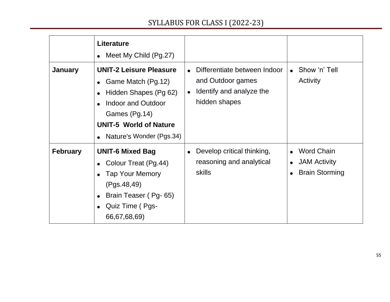| <b>January</b>  | <b>Literature</b><br>• Meet My Child $(Pg.27)$<br><b>UNIT-2 Leisure Pleasure</b><br>• Game Match $(Pg.12)$<br>Hidden Shapes (Pg 62)<br>Indoor and Outdoor<br>Games (Pg.14)<br><b>UNIT-5 World of Nature</b><br>• Nature's Wonder (Pgs.34) | Differentiate between Indoor<br>and Outdoor games<br>Identify and analyze the<br>hidden shapes | Show 'n' Tell<br>Activity                                                                                |
|-----------------|-------------------------------------------------------------------------------------------------------------------------------------------------------------------------------------------------------------------------------------------|------------------------------------------------------------------------------------------------|----------------------------------------------------------------------------------------------------------|
| <b>February</b> | <b>UNIT-6 Mixed Bag</b><br>Colour Treat (Pg.44)<br><b>Tap Your Memory</b><br>(Pgs.48, 49)<br>Brain Teaser (Pg-65)<br>Quiz Time (Pgs-<br>66,67,68,69)                                                                                      | Develop critical thinking,<br>reasoning and analytical<br>skills                               | <b>Word Chain</b><br>$\bullet$<br><b>JAM Activity</b><br>$\bullet$<br><b>Brain Storming</b><br>$\bullet$ |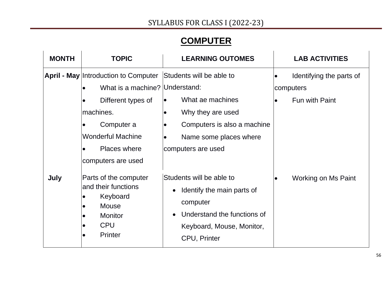# **COMPUTER**

| <b>MONTH</b> | <b>TOPIC</b>                                                                                                                                                                                     | <b>LEARNING OUTOMES</b>                                                                                                                                                                 |           | <b>LAB ACTIVITIES</b>                                   |
|--------------|--------------------------------------------------------------------------------------------------------------------------------------------------------------------------------------------------|-----------------------------------------------------------------------------------------------------------------------------------------------------------------------------------------|-----------|---------------------------------------------------------|
|              | <b>April - May Introduction to Computer</b><br>What is a machine? Understand:<br>Different types of<br>machines.<br>Computer a<br><b>Wonderful Machine</b><br>Places where<br>computers are used | Students will be able to<br>What ae machines<br>$\bullet$<br>Why they are used<br>$\bullet$<br>Computers is also a machine<br>$\bullet$<br>Name some places where<br>computers are used | $\bullet$ | Identifying the parts of<br>computers<br>Fun with Paint |
| July         | Parts of the computer<br>and their functions<br>Keyboard<br>Mouse<br><b>Monitor</b><br><b>CPU</b><br><b>Printer</b>                                                                              | Students will be able to<br>Identify the main parts of<br>computer<br>Understand the functions of<br>$\bullet$<br>Keyboard, Mouse, Monitor,<br><b>CPU, Printer</b>                      |           | Working on Ms Paint                                     |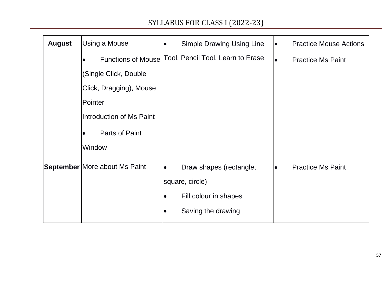| <b>August</b> | Using a Mouse                        | <b>Simple Drawing Using Line</b><br>$\bullet$           | $\bullet$ | <b>Practice Mouse Actions</b> |
|---------------|--------------------------------------|---------------------------------------------------------|-----------|-------------------------------|
|               | $\bullet$                            | Functions of Mouse Tool, Pencil Tool, Learn to Erase    | $\bullet$ | <b>Practice Ms Paint</b>      |
|               | (Single Click, Double                |                                                         |           |                               |
|               | Click, Dragging), Mouse              |                                                         |           |                               |
|               | Pointer                              |                                                         |           |                               |
|               | Introduction of Ms Paint             |                                                         |           |                               |
|               | Parts of Paint<br>$\bullet$          |                                                         |           |                               |
|               | Window                               |                                                         |           |                               |
|               | <b>September More about Ms Paint</b> | Draw shapes (rectangle,<br>$\bullet$<br>square, circle) | $\bullet$ | <b>Practice Ms Paint</b>      |
|               |                                      | Fill colour in shapes<br>$\bullet$                      |           |                               |
|               |                                      | Saving the drawing                                      |           |                               |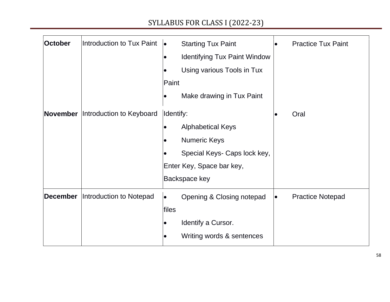| October         | Introduction to Tux Paint | $\bullet$<br>Paint | <b>Starting Tux Paint</b><br><b>Identifying Tux Paint Window</b><br>Using various Tools in Tux<br>Make drawing in Tux Paint   | $\bullet$ | <b>Practice Tux Paint</b> |
|-----------------|---------------------------|--------------------|-------------------------------------------------------------------------------------------------------------------------------|-----------|---------------------------|
| November        | Introduction to Keyboard  | Identify:          | <b>Alphabetical Keys</b><br><b>Numeric Keys</b><br>Special Keys- Caps lock key,<br>Enter Key, Space bar key,<br>Backspace key |           | Oral                      |
| <b>December</b> | Introduction to Notepad   | files              | Opening & Closing notepad<br>Identify a Cursor.<br>Writing words & sentences                                                  |           | <b>Practice Notepad</b>   |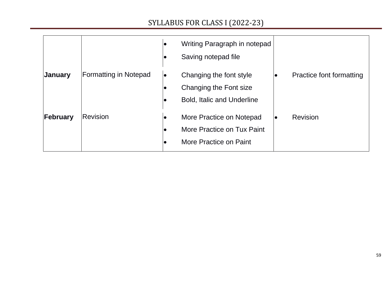|          |                              | Writing Paragraph in notepad<br>Saving notepad file<br>$\bullet$                                    |                              |
|----------|------------------------------|-----------------------------------------------------------------------------------------------------|------------------------------|
| January  | <b>Formatting in Notepad</b> | Changing the font style<br>$\bullet$<br>Changing the Font size<br><b>Bold, Italic and Underline</b> | Practice font formatting     |
| February | <b>Revision</b>              | More Practice on Notepad<br>More Practice on Tux Paint<br>$\bullet$<br>More Practice on Paint       | <b>Revision</b><br>$\bullet$ |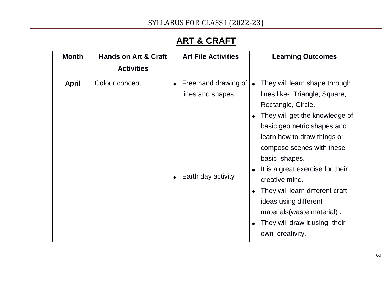# **ART & CRAFT**

| <b>Month</b> | <b>Hands on Art &amp; Craft</b> | <b>Art File Activities</b>                                     | <b>Learning Outcomes</b>                                                                                                                                                                                                                                                                                                                                                                                             |
|--------------|---------------------------------|----------------------------------------------------------------|----------------------------------------------------------------------------------------------------------------------------------------------------------------------------------------------------------------------------------------------------------------------------------------------------------------------------------------------------------------------------------------------------------------------|
|              | <b>Activities</b>               |                                                                |                                                                                                                                                                                                                                                                                                                                                                                                                      |
| April        | Colour concept                  | Free hand drawing of<br>lines and shapes<br>Earth day activity | They will learn shape through<br>lines like-: Triangle, Square,<br>Rectangle, Circle.<br>They will get the knowledge of<br>basic geometric shapes and<br>learn how to draw things or<br>compose scenes with these<br>basic shapes.<br>It is a great exercise for their<br>creative mind.<br>They will learn different craft<br>ideas using different<br>materials (waste material).<br>They will draw it using their |
|              |                                 |                                                                | own creativity.                                                                                                                                                                                                                                                                                                                                                                                                      |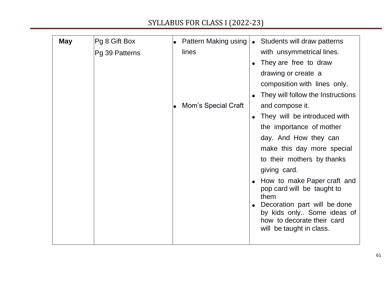| <b>May</b> | Pg 8 Gift Box  | Pattern Making using<br>• Students will draw patterns                                                                |
|------------|----------------|----------------------------------------------------------------------------------------------------------------------|
|            | Pg 39 Patterns | lines<br>with unsymmetrical lines.                                                                                   |
|            |                | They are free to draw                                                                                                |
|            |                | drawing or create a                                                                                                  |
|            |                | composition with lines only.                                                                                         |
|            |                | They will follow the Instructions                                                                                    |
|            |                | and compose it.<br>Mom's Special Craft                                                                               |
|            |                | They will be introduced with                                                                                         |
|            |                | the importance of mother                                                                                             |
|            |                | day. And How they can                                                                                                |
|            |                | make this day more special                                                                                           |
|            |                | to their mothers by thanks                                                                                           |
|            |                | giving card.                                                                                                         |
|            |                | How to make Paper craft and<br>pop card will be taught to<br>them                                                    |
|            |                | Decoration part will be done<br>by kids only Some ideas of<br>how to decorate their card<br>will be taught in class. |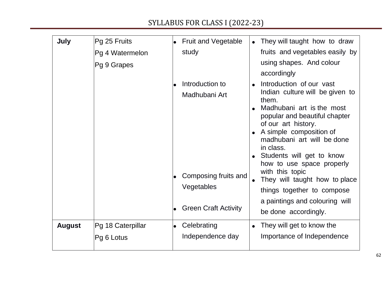| July          | Pg 25 Fruits<br>Pg 4 Watermelon<br>Pg 9 Grapes | <b>Fruit and Vegetable</b><br>study                                    | They will taught how to draw<br>fruits and vegetables easily by<br>using shapes. And colour<br>accordingly                                                                                                                                                                                                                                                                  |
|---------------|------------------------------------------------|------------------------------------------------------------------------|-----------------------------------------------------------------------------------------------------------------------------------------------------------------------------------------------------------------------------------------------------------------------------------------------------------------------------------------------------------------------------|
|               |                                                | Introduction to<br>Madhubani Art<br>Composing fruits and<br>Vegetables | Introduction of our vast<br>Indian culture will be given to<br>them.<br>Madhubani art is the most<br>popular and beautiful chapter<br>of our art history.<br>A simple composition of<br>madhubani art will be done<br>in class.<br>Students will get to know<br>how to use space properly<br>with this topic<br>They will taught how to place<br>things together to compose |
|               |                                                | <b>Green Craft Activity</b>                                            | a paintings and colouring will<br>be done accordingly.                                                                                                                                                                                                                                                                                                                      |
| <b>August</b> | Pg 18 Caterpillar<br>Pg 6 Lotus                | Celebrating<br>Independence day                                        | They will get to know the<br>Importance of Independence                                                                                                                                                                                                                                                                                                                     |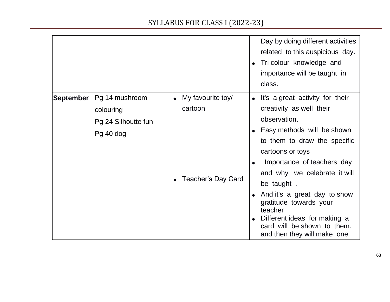|                  |                                                                 |                              | Day by doing different activities<br>related to this auspicious day.<br>Tri colour knowledge and<br>importance will be taught in<br>class.                                                                                    |
|------------------|-----------------------------------------------------------------|------------------------------|-------------------------------------------------------------------------------------------------------------------------------------------------------------------------------------------------------------------------------|
| <b>September</b> | Pg 14 mushroom<br>colouring<br>Pg 24 Silhoutte fun<br>Pg 40 dog | My favourite toy/<br>cartoon | • It's a great activity for their<br>creativity as well their<br>observation.<br>Easy methods will be shown<br>to them to draw the specific<br>cartoons or toys<br>Importance of teachers day<br>and why we celebrate it will |
|                  |                                                                 | <b>Teacher's Day Card</b>    | be taught.<br>And it's a great day to show<br>gratitude towards your<br>teacher<br>Different ideas for making a<br>card will be shown to them.<br>and then they will make one                                                 |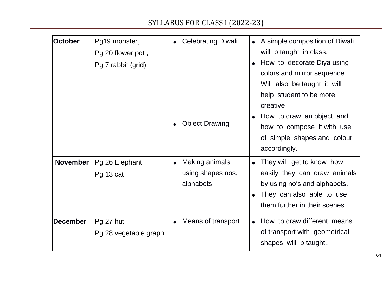| <b>October</b>  | Pg19 monster,<br>Pg 20 flower pot,<br>Pg 7 rabbit (grid) | <b>Celebrating Diwali</b> |                                                  | A simple composition of Diwali<br>will b taught in class.<br>How to decorate Diya using<br>colors and mirror sequence.<br>Will also be taught it will<br>help student to be more |  |
|-----------------|----------------------------------------------------------|---------------------------|--------------------------------------------------|----------------------------------------------------------------------------------------------------------------------------------------------------------------------------------|--|
|                 |                                                          |                           | <b>Object Drawing</b>                            | creative<br>How to draw an object and<br>how to compose it with use<br>of simple shapes and colour<br>accordingly.                                                               |  |
| <b>November</b> | Pg 26 Elephant<br>Pg 13 cat                              | $\bullet$                 | Making animals<br>using shapes nos,<br>alphabets | They will get to know how<br>easily they can draw animals<br>by using no's and alphabets.<br>They can also able to use<br>them further in their scenes                           |  |
| <b>December</b> | Pg 27 hut<br>Pg 28 vegetable graph,                      |                           | Means of transport                               | How to draw different means<br>of transport with geometrical<br>shapes will b taught                                                                                             |  |